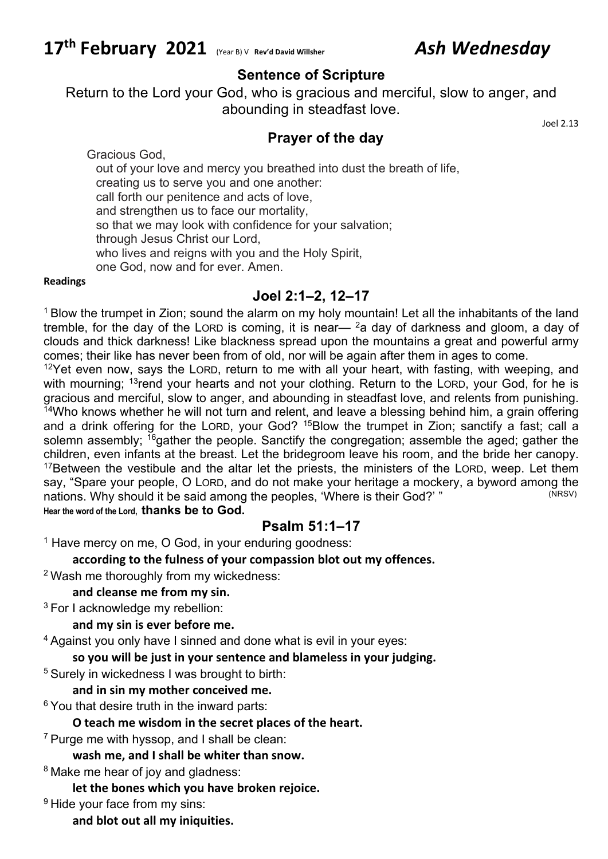# **17th February 2021** (Year B) <sup>V</sup> **Rev'd David Willsher** *Ash Wednesday*

# **Sentence of Scripture**

Return to the Lord your God, who is gracious and merciful, slow to anger, and abounding in steadfast love.

# **Prayer of the day**

Joel 2.13

Gracious God, out of your love and mercy you breathed into dust the breath of life,

creating us to serve you and one another: call forth our penitence and acts of love,

and strengthen us to face our mortality,

so that we may look with confidence for your salvation;

through Jesus Christ our Lord,

who lives and reigns with you and the Holy Spirit,

one God, now and for ever. Amen.

#### **Readings**

# **Joel 2:1–2, 12–17**

<sup>1</sup> Blow the trumpet in Zion; sound the alarm on my holy mountain! Let all the inhabitants of the land tremble, for the day of the LORD is coming, it is near—  $2a$  day of darkness and gloom, a day of clouds and thick darkness! Like blackness spread upon the mountains a great and powerful army comes; their like has never been from of old, nor will be again after them in ages to come.

 $12$ Yet even now, says the LORD, return to me with all your heart, with fasting, with weeping, and with mourning; <sup>13</sup>rend your hearts and not your clothing. Return to the LORD, your God, for he is gracious and merciful, slow to anger, and abounding in steadfast love, and relents from punishing.  $14$ Who knows whether he will not turn and relent, and leave a blessing behind him, a grain offering and a drink offering for the LORD, your God? 15Blow the trumpet in Zion; sanctify a fast; call a solemn assembly; <sup>16</sup>gather the people. Sanctify the congregation; assemble the aged; gather the children, even infants at the breast. Let the bridegroom leave his room, and the bride her canopy. <sup>17</sup>Between the vestibule and the altar let the priests, the ministers of the LORD, weep. Let them say, "Spare your people, O LORD, and do not make your heritage a mockery, a byword among the nations. Why should it be said among the peoples, 'Where is their God?' " **Hear the word of the Lord, thanks be to God.**

# **Psalm 51:1–17**

 $1$  Have mercy on me, O God, in your enduring goodness:

**according to the fulness of your compassion blot out my offences.**

<sup>2</sup> Wash me thoroughly from my wickedness:

#### **and cleanse me from my sin.**

<sup>3</sup> For I acknowledge my rebellion:

**and my sin is ever before me.**

<sup>4</sup> Against you only have I sinned and done what is evil in your eyes:

**so you will be just in your sentence and blameless in your judging.**

<sup>5</sup> Surely in wickedness I was brought to birth:

#### **and in sin my mother conceived me.**

 $6$  You that desire truth in the inward parts:

### **O teach me wisdom in the secret places of the heart.**

 $7$  Purge me with hyssop, and I shall be clean:

**wash me, and I shall be whiter than snow.**

<sup>8</sup> Make me hear of joy and gladness:

**let the bones which you have broken rejoice.**

<sup>9</sup> Hide your face from my sins:

**and blot out all my iniquities.**